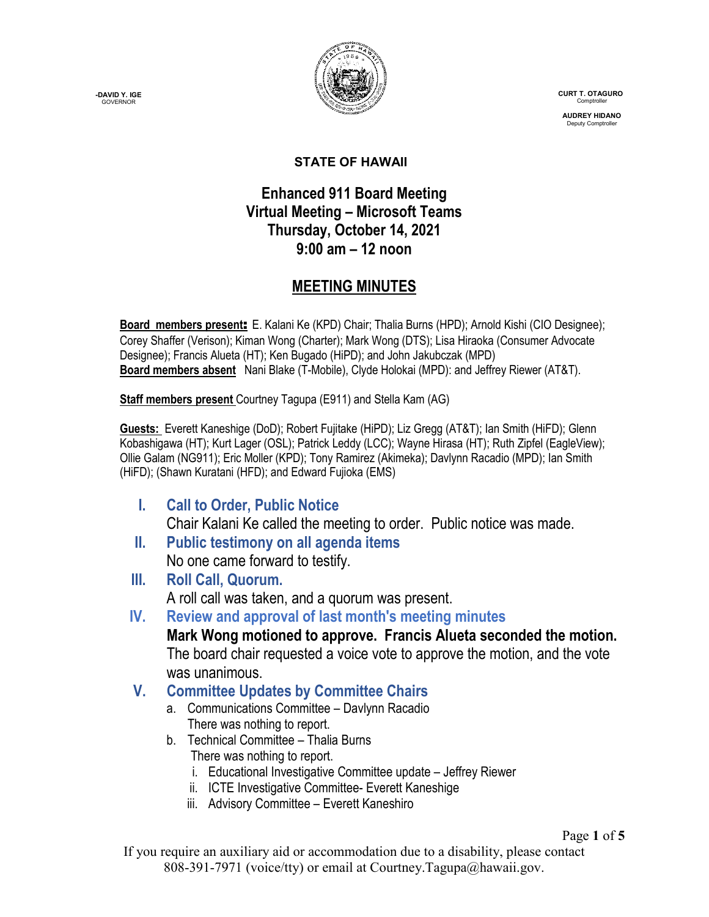**-DAVID Y. IGE GOVERNOR** 



 **CURT T. OTAGURO** Comptrol

 **AUDREY HIDANO** Deputy Comptroll

### **STATE OF HAWAII**

## **Enhanced 911 Board Meeting Virtual Meeting – Microsoft Teams Thursday, October 14, 2021 9:00 am – 12 noon**

## **MEETING MINUTES**

Board members present: E. Kalani Ke (KPD) Chair; Thalia Burns (HPD); Arnold Kishi (CIO Designee); Corey Shaffer (Verison); Kiman Wong (Charter); Mark Wong (DTS); Lisa Hiraoka (Consumer Advocate Designee); Francis Alueta (HT); Ken Bugado (HiPD); and John Jakubczak (MPD) **Board members absent** Nani Blake (T-Mobile), Clyde Holokai (MPD): and Jeffrey Riewer (AT&T).

**Staff members present** Courtney Tagupa (E911) and Stella Kam (AG)

**Guests:** Everett Kaneshige (DoD); Robert Fujitake (HiPD); Liz Gregg (AT&T); Ian Smith (HiFD); Glenn Kobashigawa (HT); Kurt Lager (OSL); Patrick Leddy (LCC); Wayne Hirasa (HT); Ruth Zipfel (EagleView); Ollie Galam (NG911); Eric Moller (KPD); Tony Ramirez (Akimeka); Davlynn Racadio (MPD); Ian Smith (HiFD); (Shawn Kuratani (HFD); and Edward Fujioka (EMS)

- **I. Call to Order, Public Notice** Chair Kalani Ke called the meeting to order. Public notice was made.
- **II. Public testimony on all agenda items** No one came forward to testify.
- **III. Roll Call, Quorum.** A roll call was taken, and a quorum was present.
- **IV. Review and approval of last month's meeting minutes**

**Mark Wong motioned to approve. Francis Alueta seconded the motion.** The board chair requested a voice vote to approve the motion, and the vote was unanimous.

- **V. Committee Updates by Committee Chairs**
	- a. Communications Committee Davlynn Racadio There was nothing to report.
	- b. Technical Committee Thalia Burns There was nothing to report.
		- i. Educational Investigative Committee update Jeffrey Riewer
		- ii. ICTE Investigative Committee- Everett Kaneshige
		- iii. Advisory Committee Everett Kaneshiro

#### Page **1** of **5**

If you require an auxiliary aid or accommodation due to a disability, please contact 808-391-7971 (voice/tty) or email at Courtney.Tagupa@hawaii.gov.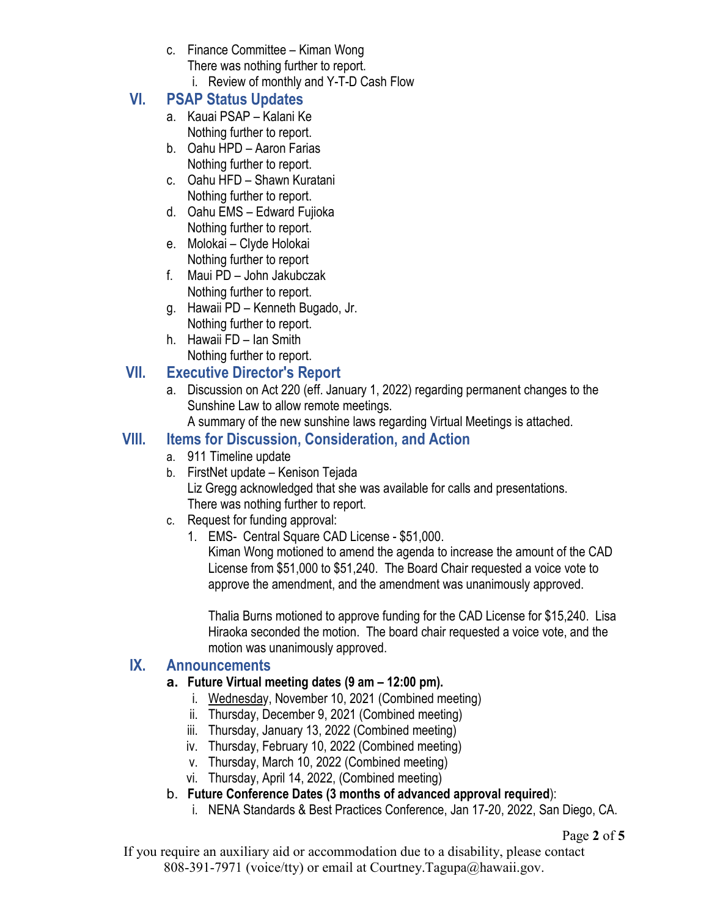- c. Finance Committee Kiman Wong There was nothing further to report.
	- i. Review of monthly and Y-T-D Cash Flow

# **VI. PSAP Status Updates**

- a. Kauai PSAP Kalani Ke Nothing further to report.
- b. Oahu HPD Aaron Farias Nothing further to report.
- c. Oahu HFD Shawn Kuratani Nothing further to report.
- d. Oahu EMS Edward Fujioka Nothing further to report.
- e. Molokai Clyde Holokai Nothing further to report
- f. Maui PD John Jakubczak Nothing further to report.
- g. Hawaii PD Kenneth Bugado, Jr. Nothing further to report.
- h. Hawaii FD Ian Smith Nothing further to report.

## **VII. Executive Director's Report**

a. Discussion on Act 220 (eff. January 1, 2022) regarding permanent changes to the Sunshine Law to allow remote meetings.

A summary of the new sunshine laws regarding Virtual Meetings is attached.

## **VIII. Items for Discussion, Consideration, and Action**

- a. 911 Timeline update
- b. FirstNet update Kenison Tejada Liz Gregg acknowledged that she was available for calls and presentations. There was nothing further to report.
- c. Request for funding approval:
	- 1. EMS- Central Square CAD License \$51,000.

Kiman Wong motioned to amend the agenda to increase the amount of the CAD License from \$51,000 to \$51,240. The Board Chair requested a voice vote to approve the amendment, and the amendment was unanimously approved.

Thalia Burns motioned to approve funding for the CAD License for \$15,240. Lisa Hiraoka seconded the motion. The board chair requested a voice vote, and the motion was unanimously approved.

### **IX. Announcements**

- **a. Future Virtual meeting dates (9 am – 12:00 pm).**
	- i. Wednesday, November 10, 2021 (Combined meeting)
	- ii. Thursday, December 9, 2021 (Combined meeting)
	- iii. Thursday, January 13, 2022 (Combined meeting)
	- iv. Thursday, February 10, 2022 (Combined meeting)
	- v. Thursday, March 10, 2022 (Combined meeting)
	- vi. Thursday, April 14, 2022, (Combined meeting)
- b. **Future Conference Dates (3 months of advanced approval required**):
	- i. NENA Standards & Best Practices Conference, Jan 17-20, 2022, San Diego, CA.

Page **2** of **5**

If you require an auxiliary aid or accommodation due to a disability, please contact 808-391-7971 (voice/tty) or email at Courtney.Tagupa@hawaii.gov.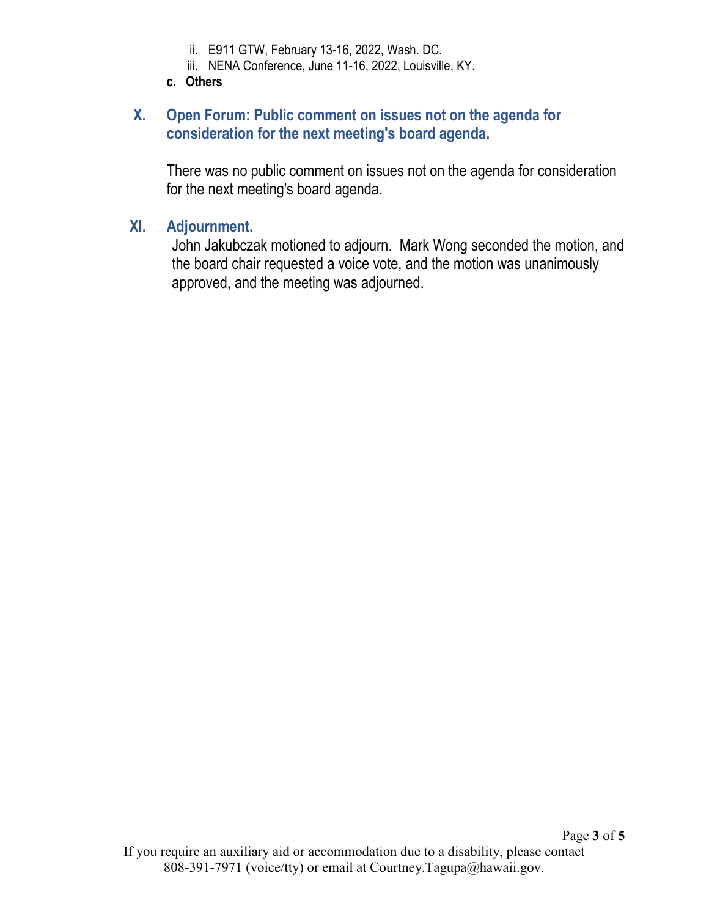- ii. E911 GTW, February 13-16, 2022, Wash. DC.
- iii. NENA Conference, June 11-16, 2022, Louisville, KY.
- **c. Others**

## **X. Open Forum: Public comment on issues not on the agenda for consideration for the next meeting's board agenda.**

There was no public comment on issues not on the agenda for consideration for the next meeting's board agenda.

### **XI. Adjournment.**

John Jakubczak motioned to adjourn. Mark Wong seconded the motion, and the board chair requested a voice vote, and the motion was unanimously approved, and the meeting was adjourned.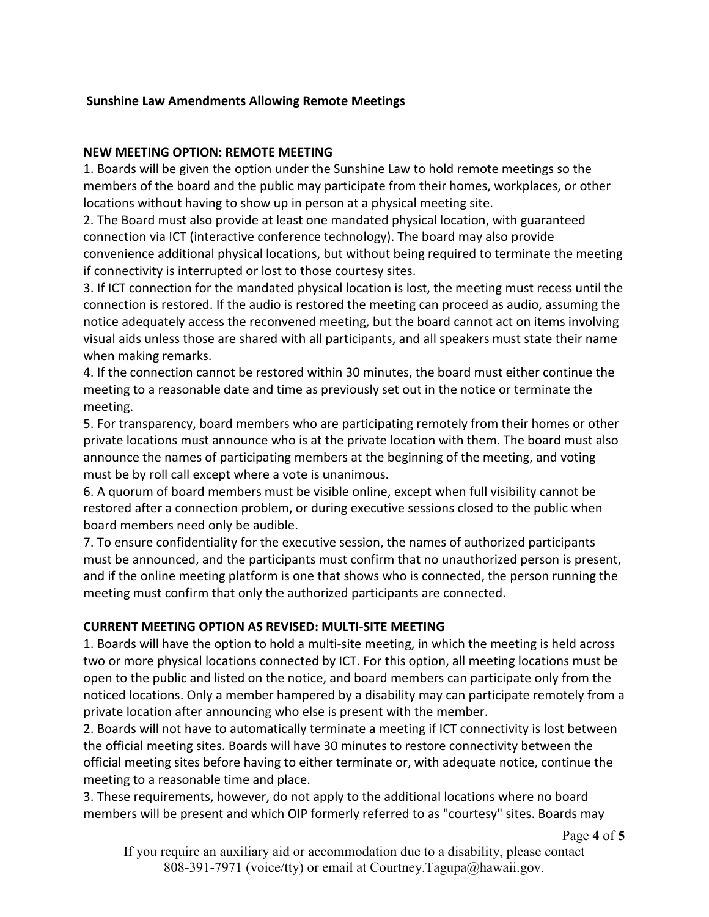#### **Sunshine Law Amendments Allowing Remote Meetings**

#### **NEW MEETING OPTION: REMOTE MEETING**

1. Boards will be given the option under the Sunshine Law to hold remote meetings so the members of the board and the public may participate from their homes, workplaces, or other locations without having to show up in person at a physical meeting site.

2. The Board must also provide at least one mandated physical location, with guaranteed connection via ICT (interactive conference technology). The board may also provide convenience additional physical locations, but without being required to terminate the meeting if connectivity is interrupted or lost to those courtesy sites.

3. If ICT connection for the mandated physical location is lost, the meeting must recess until the connection is restored. If the audio is restored the meeting can proceed as audio, assuming the notice adequately access the reconvened meeting, but the board cannot act on items involving visual aids unless those are shared with all participants, and all speakers must state their name when making remarks.

4. If the connection cannot be restored within 30 minutes, the board must either continue the meeting to a reasonable date and time as previously set out in the notice or terminate the meeting.

5. For transparency, board members who are participating remotely from their homes or other private locations must announce who is at the private location with them. The board must also announce the names of participating members at the beginning of the meeting, and voting must be by roll call except where a vote is unanimous.

6. A quorum of board members must be visible online, except when full visibility cannot be restored after a connection problem, or during executive sessions closed to the public when board members need only be audible.

7. To ensure confidentiality for the executive session, the names of authorized participants must be announced, and the participants must confirm that no unauthorized person is present, and if the online meeting platform is one that shows who is connected, the person running the meeting must confirm that only the authorized participants are connected.

#### **CURRENT MEETING OPTION AS REVISED: MULTI-SITE MEETING**

1. Boards will have the option to hold a multi-site meeting, in which the meeting is held across two or more physical locations connected by ICT. For this option, all meeting locations must be open to the public and listed on the notice, and board members can participate only from the noticed locations. Only a member hampered by a disability may can participate remotely from a private location after announcing who else is present with the member.

2. Boards will not have to automatically terminate a meeting if ICT connectivity is lost between the official meeting sites. Boards will have 30 minutes to restore connectivity between the official meeting sites before having to either terminate or, with adequate notice, continue the meeting to a reasonable time and place.

3. These requirements, however, do not apply to the additional locations where no board members will be present and which OIP formerly referred to as "courtesy" sites. Boards may

If you require an auxiliary aid or accommodation due to a disability, please contact 808-391-7971 (voice/tty) or email at Courtney.Tagupa@hawaii.gov.